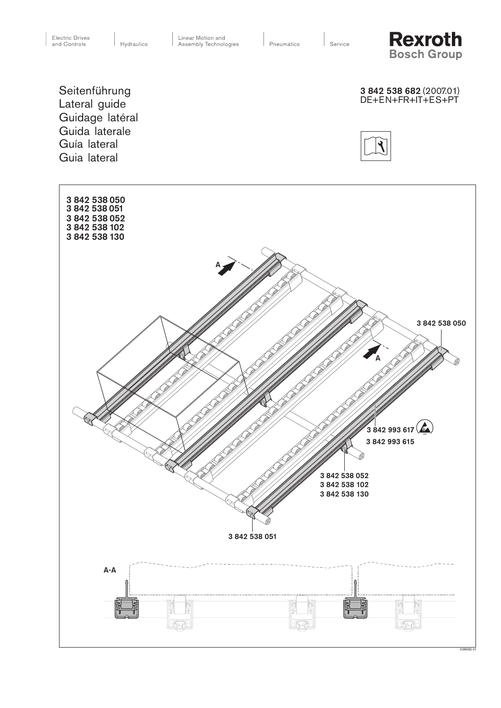Service

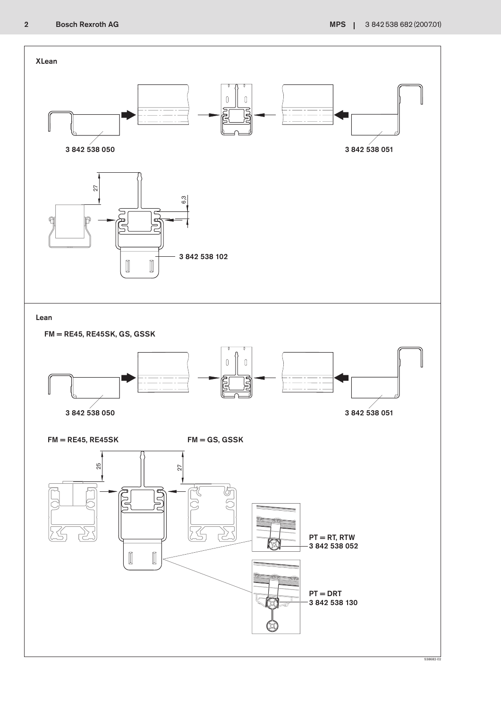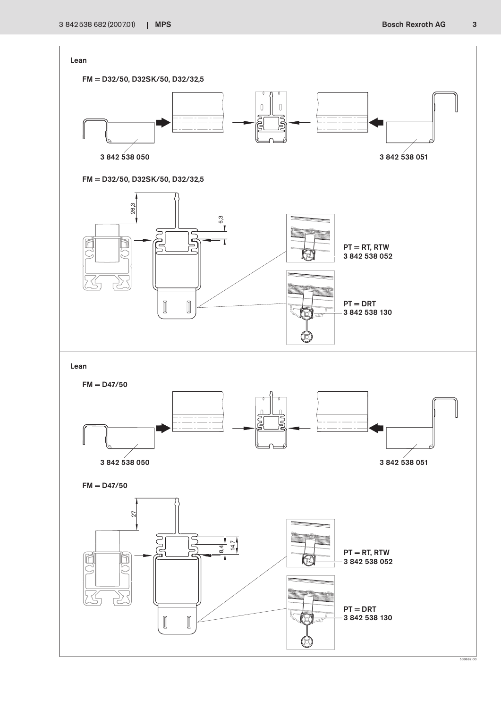